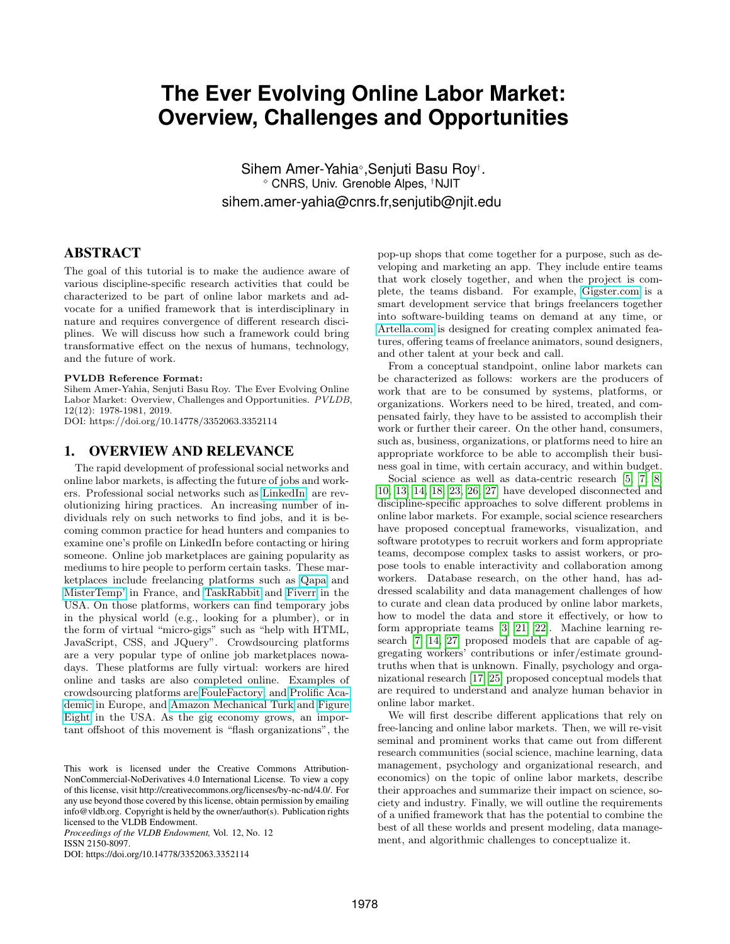# **The Ever Evolving Online Labor Market: Overview, Challenges and Opportunities**

Sihem Amer-Yahia<sup>®</sup>, Senjuti Basu Roy<sup>†</sup>. CNRS, Univ. Grenoble Alpes, †NJIT sihem.amer-yahia@cnrs.fr,senjutib@njit.edu

# ABSTRACT

The goal of this tutorial is to make the audience aware of various discipline-specific research activities that could be characterized to be part of online labor markets and advocate for a unified framework that is interdisciplinary in nature and requires convergence of different research disciplines. We will discuss how such a framework could bring transformative effect on the nexus of humans, technology, and the future of work.

#### PVLDB Reference Format:

Sihem Amer-Yahia, Senjuti Basu Roy. The Ever Evolving Online Labor Market: Overview, Challenges and Opportunities. PVLDB, 12(12): 1978-1981, 2019. DOI: https://doi.org/10.14778/3352063.3352114

# 1. OVERVIEW AND RELEVANCE

The rapid development of professional social networks and online labor markets, is affecting the future of jobs and workers. Professional social networks such as [LinkedIn,](https://www.linkedin.fr) are revolutionizing hiring practices. An increasing number of individuals rely on such networks to find jobs, and it is becoming common practice for head hunters and companies to examine one's profile on LinkedIn before contacting or hiring someone. Online job marketplaces are gaining popularity as mediums to hire people to perform certain tasks. These marketplaces include freelancing platforms such as [Qapa](https://www.qapa.fr) and [MisterTemp'](https://www.mistertemp.com/) in France, and [TaskRabbit](https://www.taskrabbit.com/) and [Fiverr](https://www.fiverr.com/) in the USA. On those platforms, workers can find temporary jobs in the physical world (e.g., looking for a plumber), or in the form of virtual "micro-gigs" such as "help with HTML, JavaScript, CSS, and JQuery". Crowdsourcing platforms are a very popular type of online job marketplaces nowadays. These platforms are fully virtual: workers are hired online and tasks are also completed online. Examples of crowdsourcing platforms are [FouleFactory,](https://www.foulefactory.com/) and [Prolific Aca](https://prolific.ac/)[demic](https://prolific.ac/) in Europe, and [Amazon Mechanical Turk](https://en.wikipedia.org/wiki/Amazon_Mechanical_Turk) and [Figure](https://www.figure-eight.com/) [Eight](https://www.figure-eight.com/) in the USA. As the gig economy grows, an important offshoot of this movement is "flash organizations", the

*Proceedings of the VLDB Endowment,* Vol. 12, No. 12 ISSN 2150-8097.

DOI: https://doi.org/10.14778/3352063.3352114

pop-up shops that come together for a purpose, such as developing and marketing an app. They include entire teams that work closely together, and when the project is complete, the teams disband. For example, [Gigster.com](https://gigster.com/) is a smart development service that brings freelancers together into software-building teams on demand at any time, or [Artella.com](https://www.artella.com/home) is designed for creating complex animated features, offering teams of freelance animators, sound designers, and other talent at your beck and call.

From a conceptual standpoint, online labor markets can be characterized as follows: workers are the producers of work that are to be consumed by systems, platforms, or organizations. Workers need to be hired, treated, and compensated fairly, they have to be assisted to accomplish their work or further their career. On the other hand, consumers, such as, business, organizations, or platforms need to hire an appropriate workforce to be able to accomplish their business goal in time, with certain accuracy, and within budget.

Social science as well as data-centric research [\[5,](#page-3-0) [7,](#page-3-1) [8,](#page-3-2) [10,](#page-3-3) [13,](#page-3-4) [14,](#page-3-5) [18,](#page-3-6) [23,](#page-3-7) [26,](#page-3-8) [27\]](#page-3-9) have developed disconnected and discipline-specific approaches to solve different problems in online labor markets. For example, social science researchers have proposed conceptual frameworks, visualization, and software prototypes to recruit workers and form appropriate teams, decompose complex tasks to assist workers, or propose tools to enable interactivity and collaboration among workers. Database research, on the other hand, has addressed scalability and data management challenges of how to curate and clean data produced by online labor markets, how to model the data and store it effectively, or how to form appropriate teams [\[3,](#page-3-10) [21,](#page-3-11) [22\]](#page-3-12). Machine learning research [\[7,](#page-3-1) [14,](#page-3-5) [27\]](#page-3-9) proposed models that are capable of aggregating workers' contributions or infer/estimate groundtruths when that is unknown. Finally, psychology and organizational research [\[17,](#page-3-13) [25\]](#page-3-14) proposed conceptual models that are required to understand and analyze human behavior in online labor market.

We will first describe different applications that rely on free-lancing and online labor markets. Then, we will re-visit seminal and prominent works that came out from different research communities (social science, machine learning, data management, psychology and organizational research, and economics) on the topic of online labor markets, describe their approaches and summarize their impact on science, society and industry. Finally, we will outline the requirements of a unified framework that has the potential to combine the best of all these worlds and present modeling, data management, and algorithmic challenges to conceptualize it.

This work is licensed under the Creative Commons Attribution-NonCommercial-NoDerivatives 4.0 International License. To view a copy of this license, visit http://creativecommons.org/licenses/by-nc-nd/4.0/. For any use beyond those covered by this license, obtain permission by emailing info@vldb.org. Copyright is held by the owner/author(s). Publication rights licensed to the VLDB Endowment.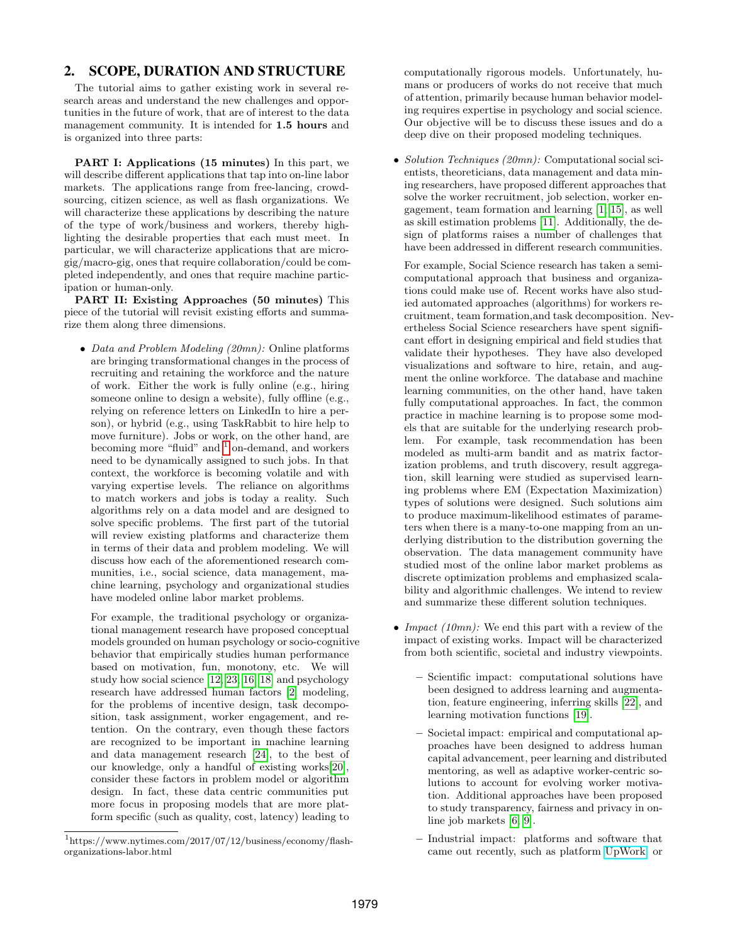# 2. SCOPE, DURATION AND STRUCTURE

The tutorial aims to gather existing work in several research areas and understand the new challenges and opportunities in the future of work, that are of interest to the data management community. It is intended for 1.5 hours and is organized into three parts:

PART I: Applications (15 minutes) In this part, we will describe different applications that tap into on-line labor markets. The applications range from free-lancing, crowdsourcing, citizen science, as well as flash organizations. We will characterize these applications by describing the nature of the type of work/business and workers, thereby highlighting the desirable properties that each must meet. In particular, we will characterize applications that are microgig/macro-gig, ones that require collaboration/could be completed independently, and ones that require machine participation or human-only.

PART II: Existing Approaches (50 minutes) This piece of the tutorial will revisit existing efforts and summarize them along three dimensions.

• Data and Problem Modeling (20mn): Online platforms are bringing transformational changes in the process of recruiting and retaining the workforce and the nature of work. Either the work is fully online (e.g., hiring someone online to design a website), fully offline (e.g., relying on reference letters on LinkedIn to hire a person), or hybrid (e.g., using TaskRabbit to hire help to move furniture). Jobs or work, on the other hand, are becoming more "fluid" and <sup>[1](#page-1-0)</sup> on-demand, and workers need to be dynamically assigned to such jobs. In that context, the workforce is becoming volatile and with varying expertise levels. The reliance on algorithms to match workers and jobs is today a reality. Such algorithms rely on a data model and are designed to solve specific problems. The first part of the tutorial will review existing platforms and characterize them in terms of their data and problem modeling. We will discuss how each of the aforementioned research communities, i.e., social science, data management, machine learning, psychology and organizational studies have modeled online labor market problems.

For example, the traditional psychology or organizational management research have proposed conceptual models grounded on human psychology or socio-cognitive behavior that empirically studies human performance based on motivation, fun, monotony, etc. We will study how social science [\[12,](#page-3-15) [23,](#page-3-7) [16,](#page-3-16) [18\]](#page-3-6) and psychology research have addressed human factors [\[2\]](#page-3-17) modeling, for the problems of incentive design, task decomposition, task assignment, worker engagement, and retention. On the contrary, even though these factors are recognized to be important in machine learning and data management research [\[24\]](#page-3-18), to the best of our knowledge, only a handful of existing works[\[20\]](#page-3-19), consider these factors in problem model or algorithm design. In fact, these data centric communities put more focus in proposing models that are more platform specific (such as quality, cost, latency) leading to

computationally rigorous models. Unfortunately, humans or producers of works do not receive that much of attention, primarily because human behavior modeling requires expertise in psychology and social science. Our objective will be to discuss these issues and do a deep dive on their proposed modeling techniques.

• Solution Techniques (20mn): Computational social scientists, theoreticians, data management and data mining researchers, have proposed different approaches that solve the worker recruitment, job selection, worker engagement, team formation and learning [\[1,](#page-3-20) [15\]](#page-3-21), as well as skill estimation problems [\[11\]](#page-3-22). Additionally, the design of platforms raises a number of challenges that have been addressed in different research communities.

For example, Social Science research has taken a semicomputational approach that business and organizations could make use of. Recent works have also studied automated approaches (algorithms) for workers recruitment, team formation,and task decomposition. Nevertheless Social Science researchers have spent significant effort in designing empirical and field studies that validate their hypotheses. They have also developed visualizations and software to hire, retain, and augment the online workforce. The database and machine learning communities, on the other hand, have taken fully computational approaches. In fact, the common practice in machine learning is to propose some models that are suitable for the underlying research problem. For example, task recommendation has been modeled as multi-arm bandit and as matrix factorization problems, and truth discovery, result aggregation, skill learning were studied as supervised learning problems where EM (Expectation Maximization) types of solutions were designed. Such solutions aim to produce maximum-likelihood estimates of parameters when there is a many-to-one mapping from an underlying distribution to the distribution governing the observation. The data management community have studied most of the online labor market problems as discrete optimization problems and emphasized scalability and algorithmic challenges. We intend to review and summarize these different solution techniques.

- Impact  $(10mn)$ : We end this part with a review of the impact of existing works. Impact will be characterized from both scientific, societal and industry viewpoints.
	- Scientific impact: computational solutions have been designed to address learning and augmentation, feature engineering, inferring skills [\[22\]](#page-3-12), and learning motivation functions [\[19\]](#page-3-23).
	- Societal impact: empirical and computational approaches have been designed to address human capital advancement, peer learning and distributed mentoring, as well as adaptive worker-centric solutions to account for evolving worker motivation. Additional approaches have been proposed to study transparency, fairness and privacy in online job markets [\[6,](#page-3-24) [9\]](#page-3-25).
	- Industrial impact: platforms and software that came out recently, such as platform [UpWork,](https://www.upwork.com/) or

<span id="page-1-0"></span><sup>1</sup> https://www.nytimes.com/2017/07/12/business/economy/flashorganizations-labor.html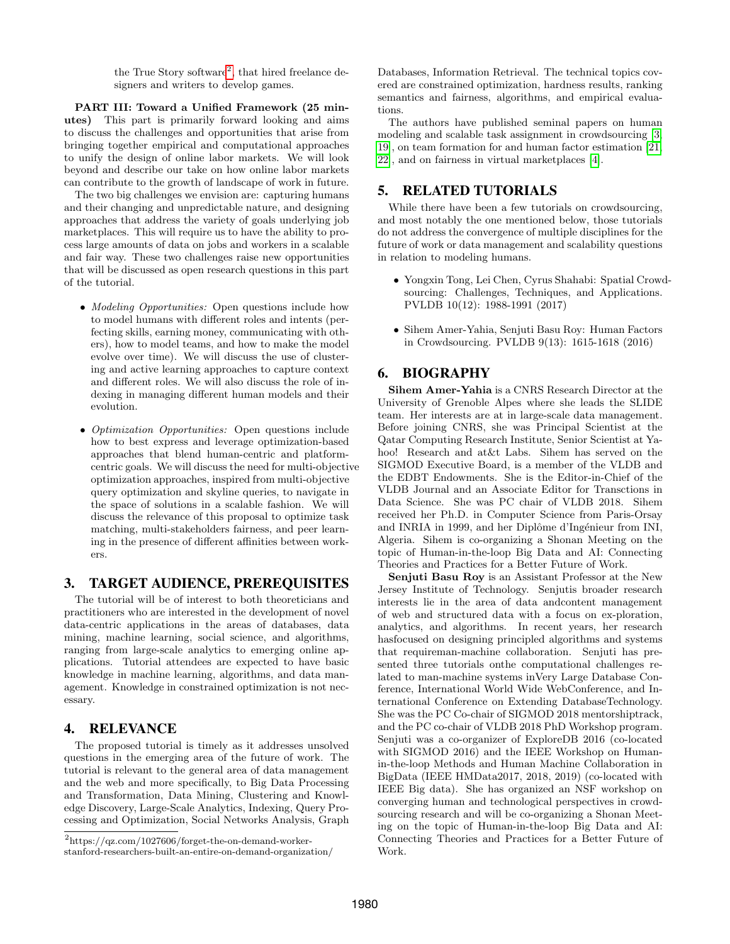the True Story software<sup>[2](#page-2-0)</sup>, that hired freelance designers and writers to develop games.

PART III: Toward a Unified Framework (25 minutes) This part is primarily forward looking and aims to discuss the challenges and opportunities that arise from bringing together empirical and computational approaches to unify the design of online labor markets. We will look beyond and describe our take on how online labor markets can contribute to the growth of landscape of work in future.

The two big challenges we envision are: capturing humans and their changing and unpredictable nature, and designing approaches that address the variety of goals underlying job marketplaces. This will require us to have the ability to process large amounts of data on jobs and workers in a scalable and fair way. These two challenges raise new opportunities that will be discussed as open research questions in this part of the tutorial.

- Modeling Opportunities: Open questions include how to model humans with different roles and intents (perfecting skills, earning money, communicating with others), how to model teams, and how to make the model evolve over time). We will discuss the use of clustering and active learning approaches to capture context and different roles. We will also discuss the role of indexing in managing different human models and their evolution.
- *Optimization Opportunities:* Open questions include how to best express and leverage optimization-based approaches that blend human-centric and platformcentric goals. We will discuss the need for multi-objective optimization approaches, inspired from multi-objective query optimization and skyline queries, to navigate in the space of solutions in a scalable fashion. We will discuss the relevance of this proposal to optimize task matching, multi-stakeholders fairness, and peer learning in the presence of different affinities between workers.

### 3. TARGET AUDIENCE, PREREQUISITES

The tutorial will be of interest to both theoreticians and practitioners who are interested in the development of novel data-centric applications in the areas of databases, data mining, machine learning, social science, and algorithms, ranging from large-scale analytics to emerging online applications. Tutorial attendees are expected to have basic knowledge in machine learning, algorithms, and data management. Knowledge in constrained optimization is not necessary.

#### 4. RELEVANCE

The proposed tutorial is timely as it addresses unsolved questions in the emerging area of the future of work. The tutorial is relevant to the general area of data management and the web and more specifically, to Big Data Processing and Transformation, Data Mining, Clustering and Knowledge Discovery, Large-Scale Analytics, Indexing, Query Processing and Optimization, Social Networks Analysis, Graph Databases, Information Retrieval. The technical topics covered are constrained optimization, hardness results, ranking semantics and fairness, algorithms, and empirical evaluations.

The authors have published seminal papers on human modeling and scalable task assignment in crowdsourcing [\[3,](#page-3-10) [19\]](#page-3-23), on team formation for and human factor estimation [\[21,](#page-3-11) [22\]](#page-3-12), and on fairness in virtual marketplaces [\[4\]](#page-3-26).

#### 5. RELATED TUTORIALS

While there have been a few tutorials on crowdsourcing, and most notably the one mentioned below, those tutorials do not address the convergence of multiple disciplines for the future of work or data management and scalability questions in relation to modeling humans.

- Yongxin Tong, Lei Chen, Cyrus Shahabi: Spatial Crowdsourcing: Challenges, Techniques, and Applications. PVLDB 10(12): 1988-1991 (2017)
- Sihem Amer-Yahia, Senjuti Basu Roy: Human Factors in Crowdsourcing. PVLDB 9(13): 1615-1618 (2016)

# 6. BIOGRAPHY

Sihem Amer-Yahia is a CNRS Research Director at the University of Grenoble Alpes where she leads the SLIDE team. Her interests are at in large-scale data management. Before joining CNRS, she was Principal Scientist at the Qatar Computing Research Institute, Senior Scientist at Yahoo! Research and at&t Labs. Sihem has served on the SIGMOD Executive Board, is a member of the VLDB and the EDBT Endowments. She is the Editor-in-Chief of the VLDB Journal and an Associate Editor for Transctions in Data Science. She was PC chair of VLDB 2018. Sihem received her Ph.D. in Computer Science from Paris-Orsay and INRIA in 1999, and her Diplôme d'Ingénieur from INI, Algeria. Sihem is co-organizing a Shonan Meeting on the topic of Human-in-the-loop Big Data and AI: Connecting Theories and Practices for a Better Future of Work.

Senjuti Basu Roy is an Assistant Professor at the New Jersey Institute of Technology. Senjutis broader research interests lie in the area of data andcontent management of web and structured data with a focus on ex-ploration, analytics, and algorithms. In recent years, her research hasfocused on designing principled algorithms and systems that requireman-machine collaboration. Senjuti has presented three tutorials onthe computational challenges related to man-machine systems inVery Large Database Conference, International World Wide WebConference, and International Conference on Extending DatabaseTechnology. She was the PC Co-chair of SIGMOD 2018 mentorshiptrack, and the PC co-chair of VLDB 2018 PhD Workshop program. Senjuti was a co-organizer of ExploreDB 2016 (co-located with SIGMOD 2016) and the IEEE Workshop on Humanin-the-loop Methods and Human Machine Collaboration in BigData (IEEE HMData2017, 2018, 2019) (co-located with IEEE Big data). She has organized an NSF workshop on converging human and technological perspectives in crowdsourcing research and will be co-organizing a Shonan Meeting on the topic of Human-in-the-loop Big Data and AI: Connecting Theories and Practices for a Better Future of Work.

<span id="page-2-0"></span><sup>2</sup> https://qz.com/1027606/forget-the-on-demand-workerstanford-researchers-built-an-entire-on-demand-organization/